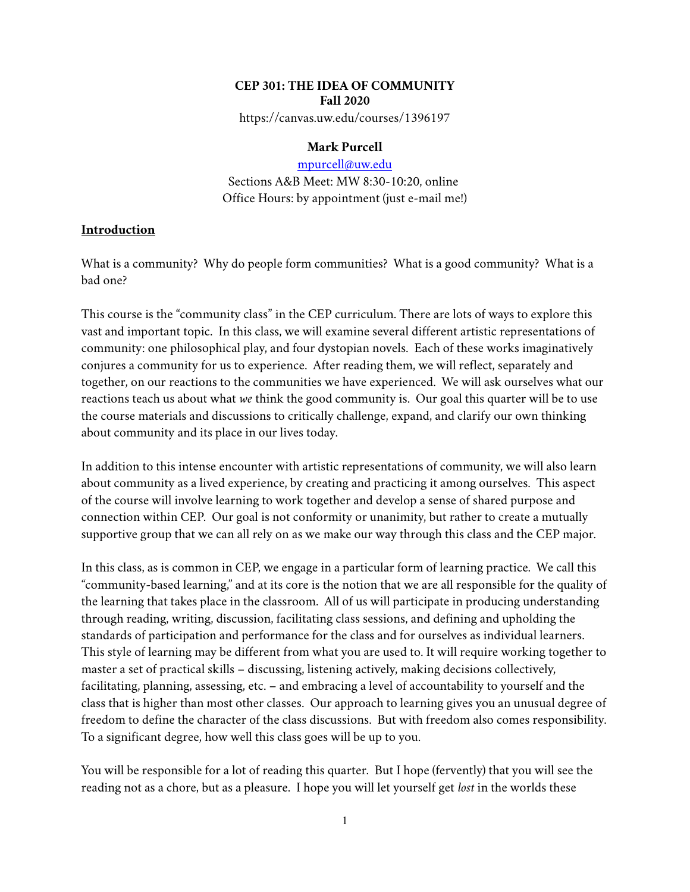## **CEP 301: THE IDEA OF COMMUNITY Fall 2020**

https://canvas.uw.edu/courses/1396197

#### **Mark Purcell**

[mpurcell@uw.edu](mailto:mpurcell@uw.edu) Sections A&B Meet: MW 8:30-10:20, online Office Hours: by appointment (just e-mail me!)

## **Introduction**

What is a community? Why do people form communities? What is a good community? What is a bad one?

This course is the "community class" in the CEP curriculum. There are lots of ways to explore this vast and important topic. In this class, we will examine several different artistic representations of community: one philosophical play, and four dystopian novels. Each of these works imaginatively conjures a community for us to experience. After reading them, we will reflect, separately and together, on our reactions to the communities we have experienced. We will ask ourselves what our reactions teach us about what *we* think the good community is. Our goal this quarter will be to use the course materials and discussions to critically challenge, expand, and clarify our own thinking about community and its place in our lives today.

In addition to this intense encounter with artistic representations of community, we will also learn about community as a lived experience, by creating and practicing it among ourselves. This aspect of the course will involve learning to work together and develop a sense of shared purpose and connection within CEP. Our goal is not conformity or unanimity, but rather to create a mutually supportive group that we can all rely on as we make our way through this class and the CEP major.

In this class, as is common in CEP, we engage in a particular form of learning practice. We call this "community-based learning," and at its core is the notion that we are all responsible for the quality of the learning that takes place in the classroom. All of us will participate in producing understanding through reading, writing, discussion, facilitating class sessions, and defining and upholding the standards of participation and performance for the class and for ourselves as individual learners. This style of learning may be different from what you are used to. It will require working together to master a set of practical skills – discussing, listening actively, making decisions collectively, facilitating, planning, assessing, etc. – and embracing a level of accountability to yourself and the class that is higher than most other classes. Our approach to learning gives you an unusual degree of freedom to define the character of the class discussions. But with freedom also comes responsibility. To a significant degree, how well this class goes will be up to you.

You will be responsible for a lot of reading this quarter. But I hope (fervently) that you will see the reading not as a chore, but as a pleasure. I hope you will let yourself get *lost* in the worlds these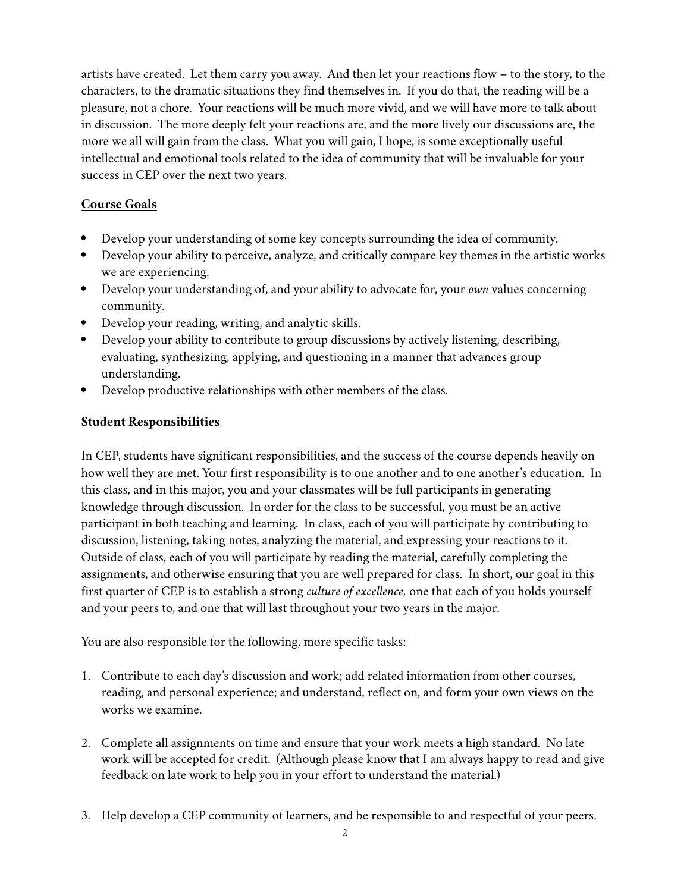artists have created. Let them carry you away. And then let your reactions flow – to the story, to the characters, to the dramatic situations they find themselves in. If you do that, the reading will be a pleasure, not a chore. Your reactions will be much more vivid, and we will have more to talk about in discussion. The more deeply felt your reactions are, and the more lively our discussions are, the more we all will gain from the class. What you will gain, I hope, is some exceptionally useful intellectual and emotional tools related to the idea of community that will be invaluable for your success in CEP over the next two years.

# **Course Goals**

- Develop your understanding of some key concepts surrounding the idea of community.
- Develop your ability to perceive, analyze, and critically compare key themes in the artistic works we are experiencing.
- Develop your understanding of, and your ability to advocate for, your *own* values concerning community.
- Develop your reading, writing, and analytic skills.
- Develop your ability to contribute to group discussions by actively listening, describing, evaluating, synthesizing, applying, and questioning in a manner that advances group understanding.
- Develop productive relationships with other members of the class.

# **Student Responsibilities**

In CEP, students have significant responsibilities, and the success of the course depends heavily on how well they are met. Your first responsibility is to one another and to one another's education. In this class, and in this major, you and your classmates will be full participants in generating knowledge through discussion. In order for the class to be successful, you must be an active participant in both teaching and learning. In class, each of you will participate by contributing to discussion, listening, taking notes, analyzing the material, and expressing your reactions to it. Outside of class, each of you will participate by reading the material, carefully completing the assignments, and otherwise ensuring that you are well prepared for class. In short, our goal in this first quarter of CEP is to establish a strong *culture of excellence,* one that each of you holds yourself and your peers to, and one that will last throughout your two years in the major.

You are also responsible for the following, more specific tasks:

- 1. Contribute to each day's discussion and work; add related information from other courses, reading, and personal experience; and understand, reflect on, and form your own views on the works we examine.
- 2. Complete all assignments on time and ensure that your work meets a high standard. No late work will be accepted for credit. (Although please know that I am always happy to read and give feedback on late work to help you in your effort to understand the material.)
- 3. Help develop a CEP community of learners, and be responsible to and respectful of your peers.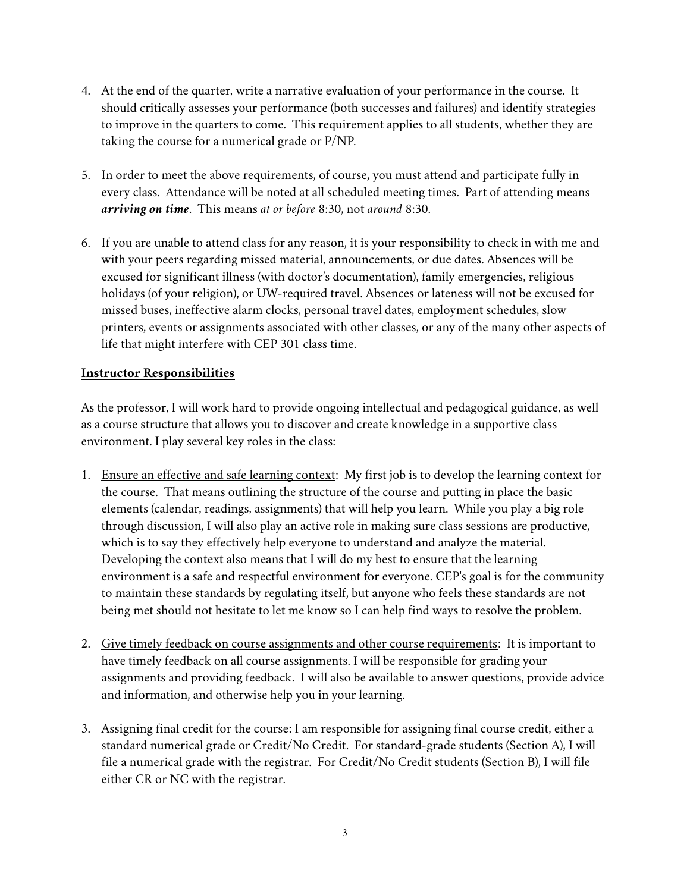- 4. At the end of the quarter, write a narrative evaluation of your performance in the course. It should critically assesses your performance (both successes and failures) and identify strategies to improve in the quarters to come. This requirement applies to all students, whether they are taking the course for a numerical grade or P/NP.
- 5. In order to meet the above requirements, of course, you must attend and participate fully in every class. Attendance will be noted at all scheduled meeting times. Part of attending means *arriving on time*. This means *at or before* 8:30, not *around* 8:30.
- 6. If you are unable to attend class for any reason, it is your responsibility to check in with me and with your peers regarding missed material, announcements, or due dates. Absences will be excused for significant illness (with doctor's documentation), family emergencies, religious holidays (of your religion), or UW-required travel. Absences or lateness will not be excused for missed buses, ineffective alarm clocks, personal travel dates, employment schedules, slow printers, events or assignments associated with other classes, or any of the many other aspects of life that might interfere with CEP 301 class time.

# **Instructor Responsibilities**

As the professor, I will work hard to provide ongoing intellectual and pedagogical guidance, as well as a course structure that allows you to discover and create knowledge in a supportive class environment. I play several key roles in the class:

- 1. Ensure an effective and safe learning context: My first job is to develop the learning context for the course. That means outlining the structure of the course and putting in place the basic elements (calendar, readings, assignments) that will help you learn. While you play a big role through discussion, I will also play an active role in making sure class sessions are productive, which is to say they effectively help everyone to understand and analyze the material. Developing the context also means that I will do my best to ensure that the learning environment is a safe and respectful environment for everyone. CEP's goal is for the community to maintain these standards by regulating itself, but anyone who feels these standards are not being met should not hesitate to let me know so I can help find ways to resolve the problem.
- 2. Give timely feedback on course assignments and other course requirements: It is important to have timely feedback on all course assignments. I will be responsible for grading your assignments and providing feedback. I will also be available to answer questions, provide advice and information, and otherwise help you in your learning.
- 3. Assigning final credit for the course: I am responsible for assigning final course credit, either a standard numerical grade or Credit/No Credit. For standard-grade students (Section A), I will file a numerical grade with the registrar. For Credit/No Credit students (Section B), I will file either CR or NC with the registrar.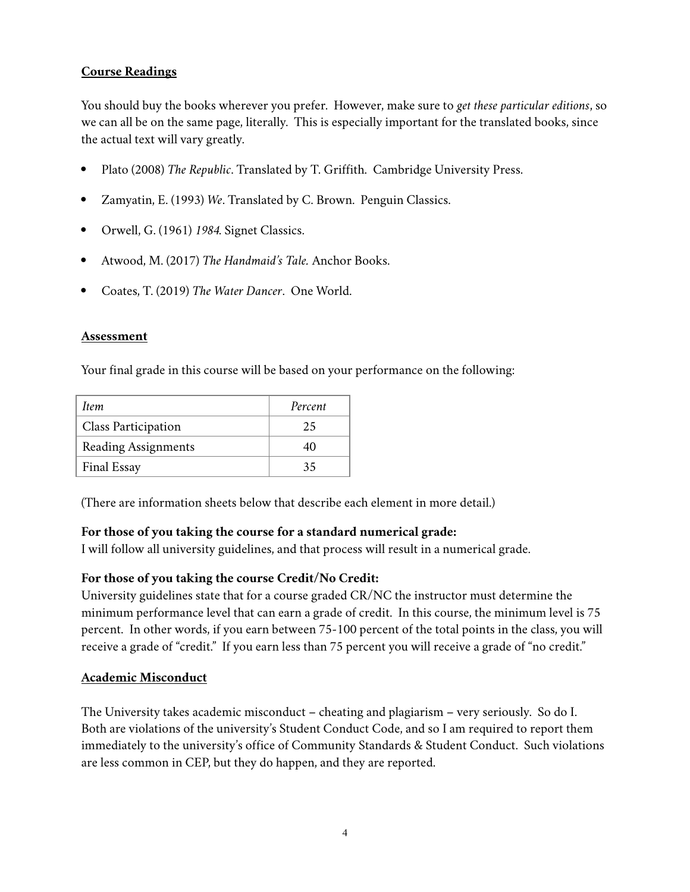# **Course Readings**

You should buy the books wherever you prefer. However, make sure to *get these particular editions*, so we can all be on the same page, literally. This is especially important for the translated books, since the actual text will vary greatly.

- Plato (2008) *The Republic*. Translated by T. Griffith. Cambridge University Press.
- Zamyatin, E. (1993) *We*. Translated by C. Brown. Penguin Classics.
- Orwell, G. (1961) *1984*. Signet Classics.
- Atwood, M. (2017) *The Handmaid's Tale.* Anchor Books.
- Coates, T. (2019) *The Water Dancer*. One World.

#### **Assessment**

Your final grade in this course will be based on your performance on the following:

| Item                       | Percent |
|----------------------------|---------|
| <b>Class Participation</b> | 25      |
| <b>Reading Assignments</b> | 40      |
| <b>Final Essay</b>         | 35      |

(There are information sheets below that describe each element in more detail.)

## **For those of you taking the course for a standard numerical grade:**

I will follow all university guidelines, and that process will result in a numerical grade.

## **For those of you taking the course Credit/No Credit:**

University guidelines state that for a course graded CR/NC the instructor must determine the minimum performance level that can earn a grade of credit. In this course, the minimum level is 75 percent. In other words, if you earn between 75-100 percent of the total points in the class, you will receive a grade of "credit." If you earn less than 75 percent you will receive a grade of "no credit."

#### **Academic Misconduct**

The University takes academic misconduct – cheating and plagiarism – very seriously. So do I. Both are violations of the university's Student Conduct Code, and so I am required to report them immediately to the university's office of Community Standards & Student Conduct. Such violations are less common in CEP, but they do happen, and they are reported.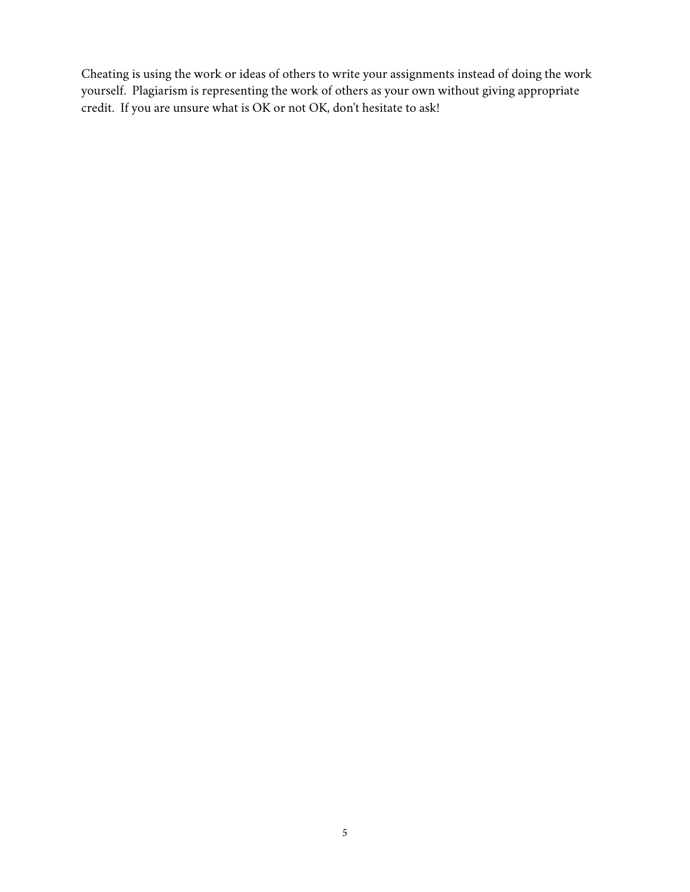Cheating is using the work or ideas of others to write your assignments instead of doing the work yourself. Plagiarism is representing the work of others as your own without giving appropriate credit. If you are unsure what is OK or not OK, don't hesitate to ask!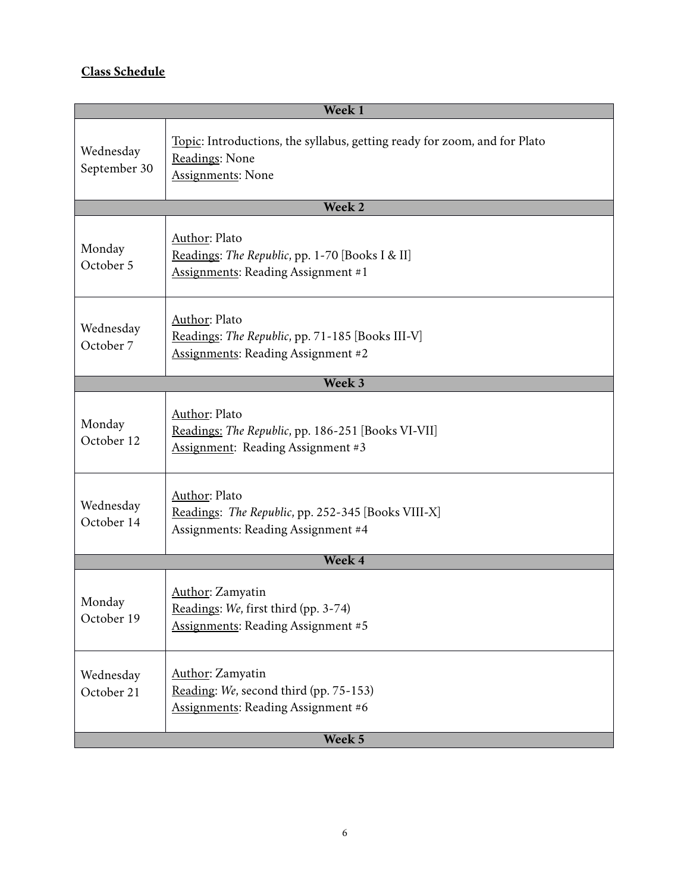# **Class Schedule**

| Week <sub>1</sub>         |                                                                                                                         |  |
|---------------------------|-------------------------------------------------------------------------------------------------------------------------|--|
| Wednesday<br>September 30 | Topic: Introductions, the syllabus, getting ready for zoom, and for Plato<br>Readings: None<br><b>Assignments: None</b> |  |
|                           | Week 2                                                                                                                  |  |
| Monday<br>October 5       | Author: Plato<br>Readings: The Republic, pp. 1-70 [Books I & II]<br><b>Assignments: Reading Assignment #1</b>           |  |
| Wednesday<br>October 7    | Author: Plato<br>Readings: The Republic, pp. 71-185 [Books III-V]<br><b>Assignments: Reading Assignment #2</b>          |  |
|                           | Week 3                                                                                                                  |  |
| Monday<br>October 12      | <b>Author: Plato</b><br>Readings: The Republic, pp. 186-251 [Books VI-VII]<br><b>Assignment: Reading Assignment #3</b>  |  |
| Wednesday<br>October 14   | Author: Plato<br>Readings: The Republic, pp. 252-345 [Books VIII-X]<br>Assignments: Reading Assignment #4               |  |
| Week 4                    |                                                                                                                         |  |
| Monday<br>October 19      | Author: Zamyatin<br>Readings: We, first third (pp. 3-74)<br><b>Assignments: Reading Assignment #5</b>                   |  |
| Wednesday<br>October 21   | Author: Zamyatin<br>Reading: We, second third (pp. 75-153)<br><b>Assignments: Reading Assignment #6</b>                 |  |
|                           | Week 5                                                                                                                  |  |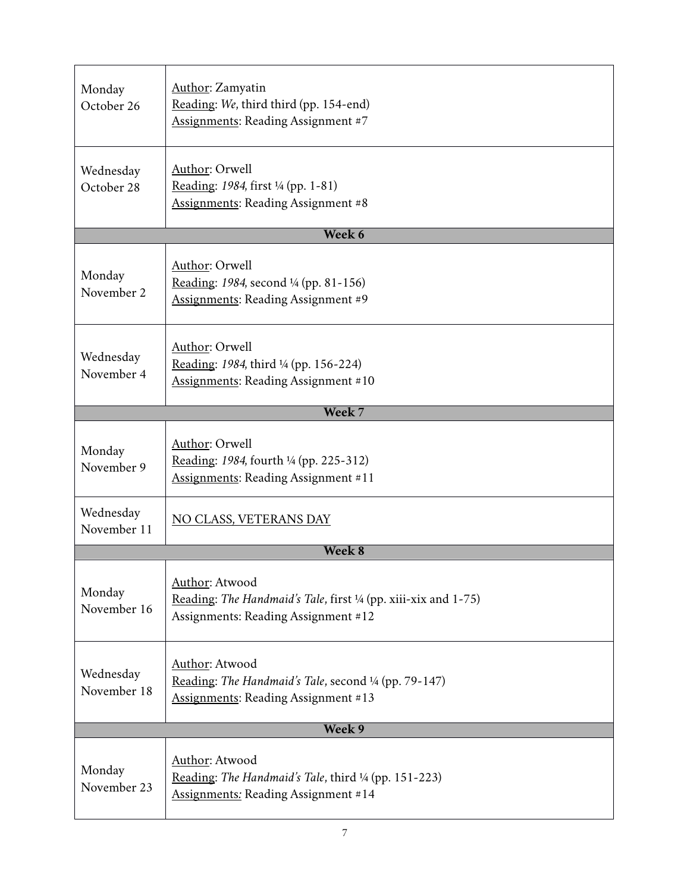| Monday<br>October 26     | <b>Author:</b> Zamyatin<br>Reading: We, third third (pp. 154-end)<br><b>Assignments: Reading Assignment #7</b>                 |  |
|--------------------------|--------------------------------------------------------------------------------------------------------------------------------|--|
| Wednesday<br>October 28  | Author: Orwell<br>Reading: 1984, first <sup>1</sup> / <sub>4</sub> (pp. 1-81)<br>Assignments: Reading Assignment #8            |  |
|                          | Week 6                                                                                                                         |  |
| Monday<br>November 2     | Author: Orwell<br>Reading: 1984, second 1/4 (pp. 81-156)<br><b>Assignments: Reading Assignment #9</b>                          |  |
| Wednesday<br>November 4  | Author: Orwell<br>Reading: 1984, third <sup>1</sup> / <sub>4</sub> (pp. 156-224)<br><b>Assignments: Reading Assignment #10</b> |  |
|                          | Week 7                                                                                                                         |  |
| Monday<br>November 9     | Author: Orwell<br>Reading: 1984, fourth <sup>1</sup> /4 (pp. 225-312)<br><b>Assignments: Reading Assignment #11</b>            |  |
| Wednesday<br>November 11 | NO CLASS, VETERANS DAY                                                                                                         |  |
|                          | Week 8                                                                                                                         |  |
| Monday<br>November 16    | Author: Atwood<br>Reading: The Handmaid's Tale, first 1/4 (pp. xiii-xix and 1-75)<br>Assignments: Reading Assignment #12       |  |
| Wednesday<br>November 18 | Author: Atwood<br>Reading: The Handmaid's Tale, second 1/4 (pp. 79-147)<br><b>Assignments: Reading Assignment #13</b>          |  |
| Week 9                   |                                                                                                                                |  |
| Monday<br>November 23    | Author: Atwood<br>Reading: The Handmaid's Tale, third 1/4 (pp. 151-223)<br><b>Assignments: Reading Assignment #14</b>          |  |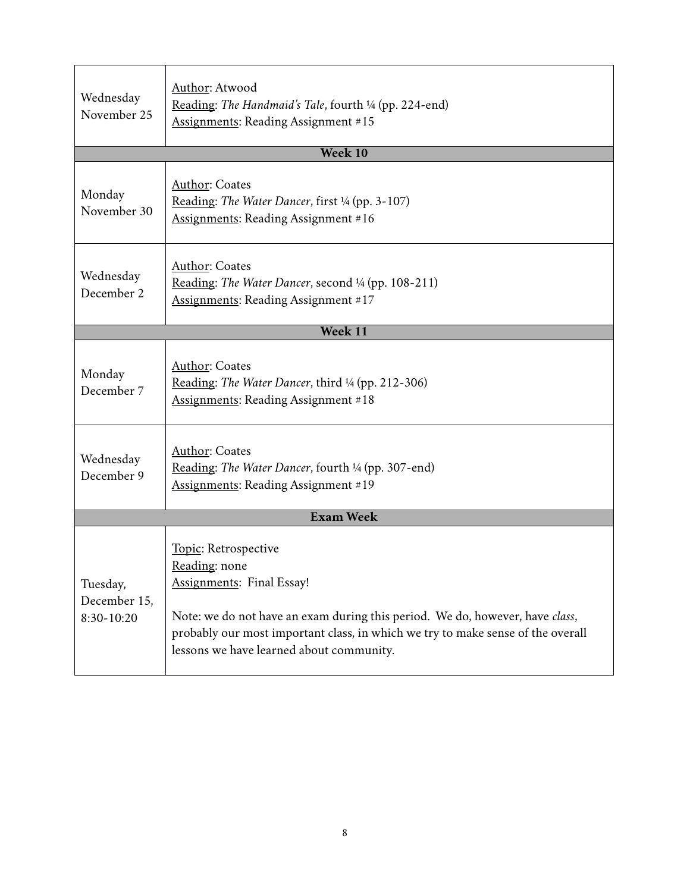| Wednesday<br>November 25               | Author: Atwood<br>Reading: The Handmaid's Tale, fourth 1/4 (pp. 224-end)<br>Assignments: Reading Assignment #15                                                                                                                                                                          |  |
|----------------------------------------|------------------------------------------------------------------------------------------------------------------------------------------------------------------------------------------------------------------------------------------------------------------------------------------|--|
|                                        | <b>Week 10</b>                                                                                                                                                                                                                                                                           |  |
| Monday<br>November 30                  | <b>Author: Coates</b><br>Reading: The Water Dancer, first 1/4 (pp. 3-107)<br><b>Assignments: Reading Assignment #16</b>                                                                                                                                                                  |  |
| Wednesday<br>December 2                | <b>Author: Coates</b><br>Reading: The Water Dancer, second 1/4 (pp. 108-211)<br><b>Assignments: Reading Assignment #17</b>                                                                                                                                                               |  |
|                                        | <b>Week 11</b>                                                                                                                                                                                                                                                                           |  |
| Monday<br>December 7                   | Author: Coates<br>Reading: The Water Dancer, third <sup>1</sup> /4 (pp. 212-306)<br><b>Assignments: Reading Assignment #18</b>                                                                                                                                                           |  |
| Wednesday<br>December 9                | <b>Author: Coates</b><br>Reading: The Water Dancer, fourth 1/4 (pp. 307-end)<br><b>Assignments: Reading Assignment #19</b>                                                                                                                                                               |  |
| <b>Exam Week</b>                       |                                                                                                                                                                                                                                                                                          |  |
| Tuesday,<br>December 15,<br>8:30-10:20 | Topic: Retrospective<br>Reading: none<br><b>Assignments: Final Essay!</b><br>Note: we do not have an exam during this period. We do, however, have class,<br>probably our most important class, in which we try to make sense of the overall<br>lessons we have learned about community. |  |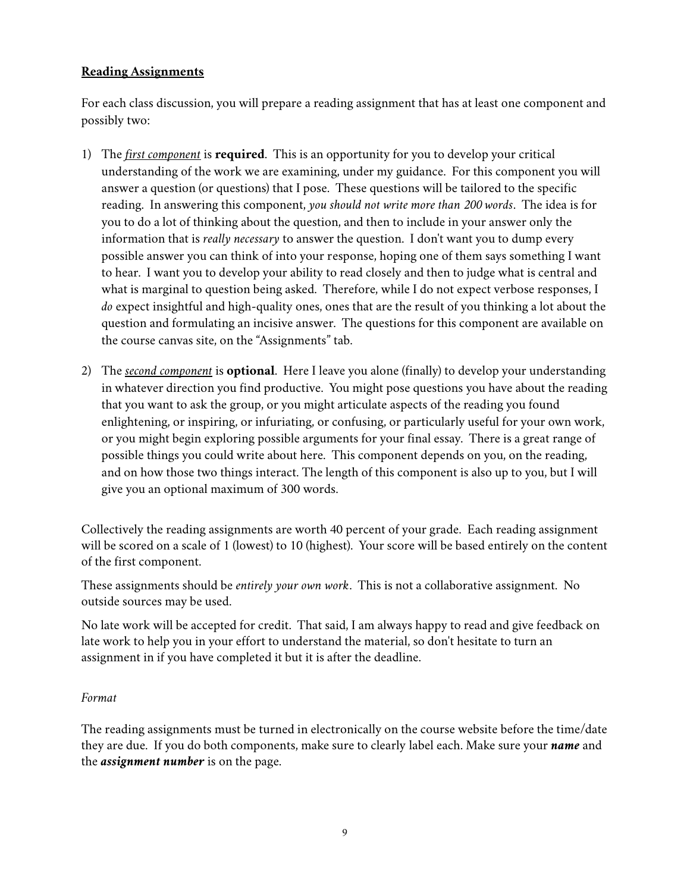## **Reading Assignments**

For each class discussion, you will prepare a reading assignment that has at least one component and possibly two:

- 1) The *first component* is **required**. This is an opportunity for you to develop your critical understanding of the work we are examining, under my guidance. For this component you will answer a question (or questions) that I pose. These questions will be tailored to the specific reading. In answering this component, *you should not write more than 200 words*. The idea is for you to do a lot of thinking about the question, and then to include in your answer only the information that is *really necessary* to answer the question. I don't want you to dump every possible answer you can think of into your response, hoping one of them says something I want to hear. I want you to develop your ability to read closely and then to judge what is central and what is marginal to question being asked. Therefore, while I do not expect verbose responses, I *do* expect insightful and high-quality ones, ones that are the result of you thinking a lot about the question and formulating an incisive answer. The questions for this component are available on the course canvas site, on the "Assignments" tab.
- 2) The *second component* is **optional**. Here I leave you alone (finally) to develop your understanding in whatever direction you find productive. You might pose questions you have about the reading that you want to ask the group, or you might articulate aspects of the reading you found enlightening, or inspiring, or infuriating, or confusing, or particularly useful for your own work, or you might begin exploring possible arguments for your final essay. There is a great range of possible things you could write about here. This component depends on you, on the reading, and on how those two things interact. The length of this component is also up to you, but I will give you an optional maximum of 300 words.

Collectively the reading assignments are worth 40 percent of your grade. Each reading assignment will be scored on a scale of 1 (lowest) to 10 (highest). Your score will be based entirely on the content of the first component.

These assignments should be *entirely your own work*. This is not a collaborative assignment. No outside sources may be used.

No late work will be accepted for credit. That said, I am always happy to read and give feedback on late work to help you in your effort to understand the material, so don't hesitate to turn an assignment in if you have completed it but it is after the deadline.

## *Format*

The reading assignments must be turned in electronically on the course website before the time/date they are due. If you do both components, make sure to clearly label each. Make sure your *name* and the *assignment number* is on the page.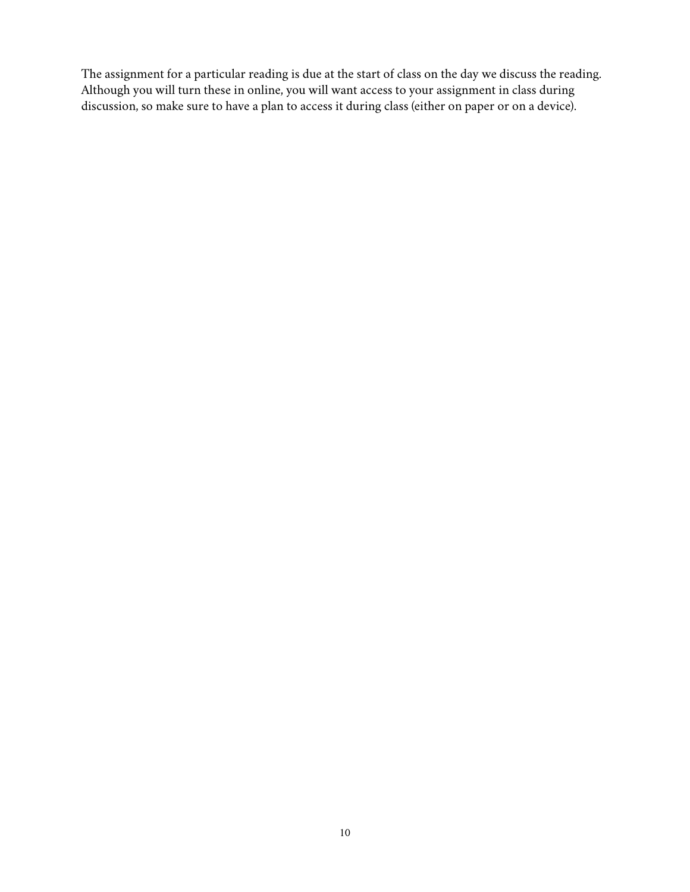The assignment for a particular reading is due at the start of class on the day we discuss the reading. Although you will turn these in online, you will want access to your assignment in class during discussion, so make sure to have a plan to access it during class (either on paper or on a device).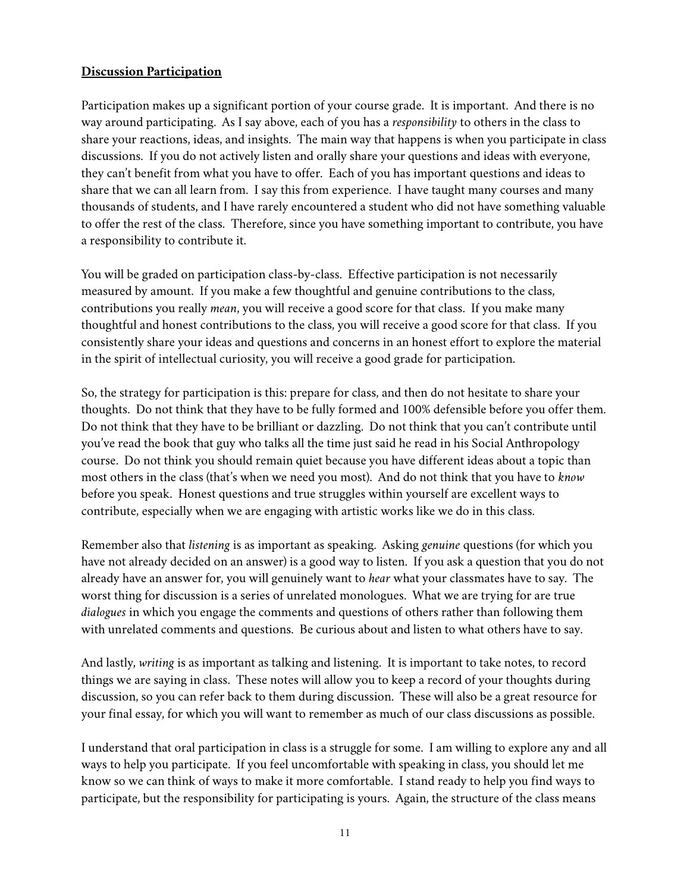## **Discussion Participation**

Participation makes up a significant portion of your course grade. It is important. And there is no way around participating. As I say above, each of you has a *responsibility* to others in the class to share your reactions, ideas, and insights. The main way that happens is when you participate in class discussions. If you do not actively listen and orally share your questions and ideas with everyone, they can't benefit from what you have to offer. Each of you has important questions and ideas to share that we can all learn from. I say this from experience. I have taught many courses and many thousands of students, and I have rarely encountered a student who did not have something valuable to offer the rest of the class. Therefore, since you have something important to contribute, you have a responsibility to contribute it.

You will be graded on participation class-by-class. Effective participation is not necessarily measured by amount. If you make a few thoughtful and genuine contributions to the class, contributions you really *mean*, you will receive a good score for that class. If you make many thoughtful and honest contributions to the class, you will receive a good score for that class. If you consistently share your ideas and questions and concerns in an honest effort to explore the material in the spirit of intellectual curiosity, you will receive a good grade for participation.

So, the strategy for participation is this: prepare for class, and then do not hesitate to share your thoughts. Do not think that they have to be fully formed and 100% defensible before you offer them. Do not think that they have to be brilliant or dazzling. Do not think that you can't contribute until you've read the book that guy who talks all the time just said he read in his Social Anthropology course. Do not think you should remain quiet because you have different ideas about a topic than most others in the class (that's when we need you most). And do not think that you have to *know* before you speak. Honest questions and true struggles within yourself are excellent ways to contribute, especially when we are engaging with artistic works like we do in this class.

Remember also that *listening* is as important as speaking. Asking *genuine* questions (for which you have not already decided on an answer) is a good way to listen. If you ask a question that you do not already have an answer for, you will genuinely want to *hear* what your classmates have to say. The worst thing for discussion is a series of unrelated monologues. What we are trying for are true *dialogues* in which you engage the comments and questions of others rather than following them with unrelated comments and questions. Be curious about and listen to what others have to say.

And lastly, *writing* is as important as talking and listening. It is important to take notes, to record things we are saying in class. These notes will allow you to keep a record of your thoughts during discussion, so you can refer back to them during discussion. These will also be a great resource for your final essay, for which you will want to remember as much of our class discussions as possible.

I understand that oral participation in class is a struggle for some. I am willing to explore any and all ways to help you participate. If you feel uncomfortable with speaking in class, you should let me know so we can think of ways to make it more comfortable. I stand ready to help you find ways to participate, but the responsibility for participating is yours. Again, the structure of the class means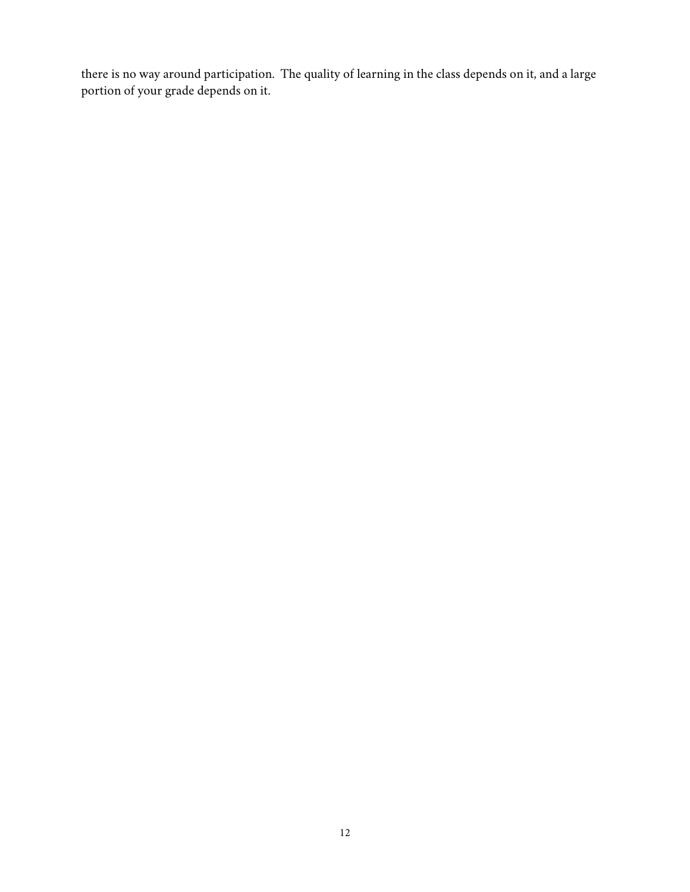there is no way around participation. The quality of learning in the class depends on it, and a large portion of your grade depends on it.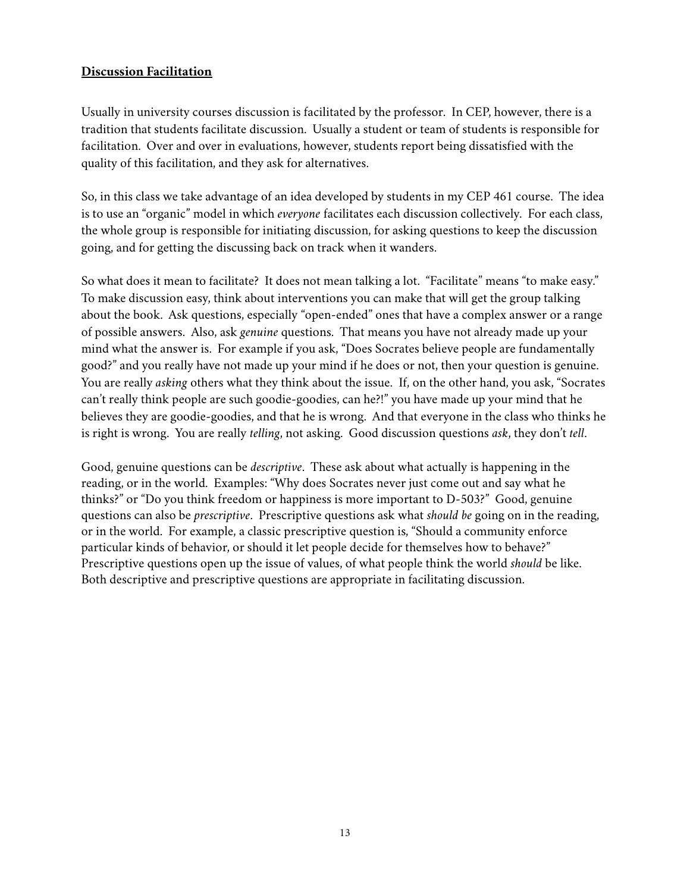## **Discussion Facilitation**

Usually in university courses discussion is facilitated by the professor. In CEP, however, there is a tradition that students facilitate discussion. Usually a student or team of students is responsible for facilitation. Over and over in evaluations, however, students report being dissatisfied with the quality of this facilitation, and they ask for alternatives.

So, in this class we take advantage of an idea developed by students in my CEP 461 course. The idea is to use an "organic" model in which *everyone* facilitates each discussion collectively. For each class, the whole group is responsible for initiating discussion, for asking questions to keep the discussion going, and for getting the discussing back on track when it wanders.

So what does it mean to facilitate? It does not mean talking a lot. "Facilitate" means "to make easy." To make discussion easy, think about interventions you can make that will get the group talking about the book. Ask questions, especially "open-ended" ones that have a complex answer or a range of possible answers. Also, ask *genuine* questions. That means you have not already made up your mind what the answer is. For example if you ask, "Does Socrates believe people are fundamentally good?" and you really have not made up your mind if he does or not, then your question is genuine. You are really *asking* others what they think about the issue. If, on the other hand, you ask, "Socrates can't really think people are such goodie-goodies, can he?!" you have made up your mind that he believes they are goodie-goodies, and that he is wrong. And that everyone in the class who thinks he is right is wrong. You are really *telling*, not asking. Good discussion questions *ask*, they don't *tell*.

Good, genuine questions can be *descriptive*. These ask about what actually is happening in the reading, or in the world. Examples: "Why does Socrates never just come out and say what he thinks?" or "Do you think freedom or happiness is more important to D-503?" Good, genuine questions can also be *prescriptive*. Prescriptive questions ask what *should be* going on in the reading, or in the world. For example, a classic prescriptive question is, "Should a community enforce particular kinds of behavior, or should it let people decide for themselves how to behave?" Prescriptive questions open up the issue of values, of what people think the world *should* be like. Both descriptive and prescriptive questions are appropriate in facilitating discussion.